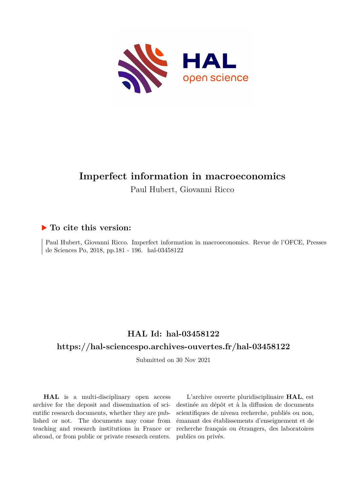

# **Imperfect information in macroeconomics**

Paul Hubert, Giovanni Ricco

## **To cite this version:**

Paul Hubert, Giovanni Ricco. Imperfect information in macroeconomics. Revue de l'OFCE, Presses de Sciences Po, 2018, pp.181 - 196. hal-03458122

## **HAL Id: hal-03458122**

### **<https://hal-sciencespo.archives-ouvertes.fr/hal-03458122>**

Submitted on 30 Nov 2021

**HAL** is a multi-disciplinary open access archive for the deposit and dissemination of scientific research documents, whether they are published or not. The documents may come from teaching and research institutions in France or abroad, or from public or private research centers.

L'archive ouverte pluridisciplinaire **HAL**, est destinée au dépôt et à la diffusion de documents scientifiques de niveau recherche, publiés ou non, émanant des établissements d'enseignement et de recherche français ou étrangers, des laboratoires publics ou privés.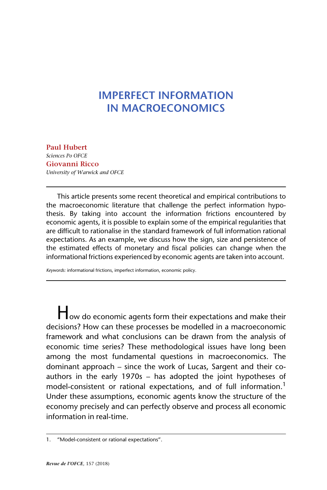## **IMPERFECT INFORMATION IN MACROECONOMICS**

**[Paul Hubert](https://www.ofce.sciences-po.fr/pages-chercheurs/page.php?id=16)** *Sciences Po OFCE* **Giovanni Ricco** *University of Warwick and OFCE*

This article presents some recent theoretical and empirical contributions to the macroeconomic literature that challenge the perfect information hypothesis. By taking into account the information frictions encountered by economic agents, it is possible to explain some of the empirical regularities that are difficult to rationalise in the standard framework of full information rational expectations. As an example, we discuss how the sign, size and persistence of the estimated effects of monetary and fiscal policies can change when the informational frictions experienced by economic agents are taken into account.

*Keywords:* informational frictions, imperfect information, economic policy.

How do economic agents form their expectations and make their decisions? How can these processes be modelled in a macroeconomic framework and what conclusions can be drawn from the analysis of economic time series? These methodological issues have long been among the most fundamental questions in macroeconomics. The dominant approach – since the work of Lucas, Sargent and their coauthors in the early 1970s – has adopted the joint hypotheses of model-consistent or rational expectations, and of full information.<sup>1</sup> Under these assumptions, economic agents know the structure of the economy precisely and can perfectly observe and process all economic information in real-time.

<sup>1. &</sup>quot;Model-consistent or rational expectations".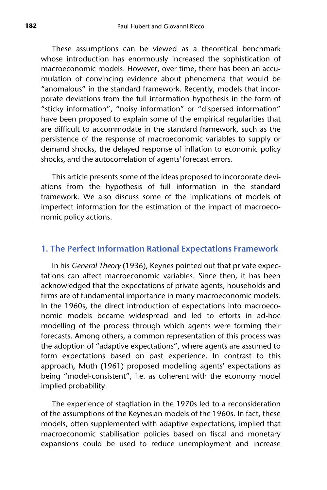These assumptions can be viewed as a theoretical benchmark whose introduction has enormously increased the sophistication of macroeconomic models. However, over time, there has been an accumulation of convincing evidence about phenomena that would be "anomalous" in the standard framework. Recently, models that incorporate deviations from the full information hypothesis in the form of "sticky information", "noisy information" or "dispersed information" have been proposed to explain some of the empirical regularities that are difficult to accommodate in the standard framework, such as the persistence of the response of macroeconomic variables to supply or demand shocks, the delayed response of inflation to economic policy shocks, and the autocorrelation of agents' forecast errors.

This article presents some of the ideas proposed to incorporate deviations from the hypothesis of full information in the standard framework. We also discuss some of the implications of models of imperfect information for the estimation of the impact of macroeconomic policy actions.

#### **1. The Perfect Information Rational Expectations Framework**

In his *General Theory* (1936), Keynes pointed out that private expectations can affect macroeconomic variables. Since then, it has been acknowledged that the expectations of private agents, households and firms are of fundamental importance in many macroeconomic models. In the 1960s, the direct introduction of expectations into macroeconomic models became widespread and led to efforts in ad-hoc modelling of the process through which agents were forming their forecasts. Among others, a common representation of this process was the adoption of "adaptive expectations", where agents are assumed to form expectations based on past experience. In contrast to this approach, Muth (1961) proposed modelling agents' expectations as being "model-consistent", i.e. as coherent with the economy model implied probability.

The experience of stagflation in the 1970s led to a reconsideration of the assumptions of the Keynesian models of the 1960s. In fact, these models, often supplemented with adaptive expectations, implied that macroeconomic stabilisation policies based on fiscal and monetary expansions could be used to reduce unemployment and increase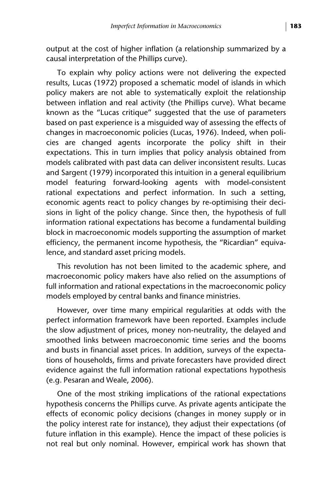output at the cost of higher inflation (a relationship summarized by a causal interpretation of the Phillips curve).

To explain why policy actions were not delivering the expected results, Lucas (1972) proposed a schematic model of islands in which policy makers are not able to systematically exploit the relationship between inflation and real activity (the Phillips curve). What became known as the "Lucas critique" suggested that the use of parameters based on past experience is a misguided way of assessing the effects of changes in macroeconomic policies (Lucas, 1976). Indeed, when policies are changed agents incorporate the policy shift in their expectations. This in turn implies that policy analysis obtained from models calibrated with past data can deliver inconsistent results. Lucas and Sargent (1979) incorporated this intuition in a general equilibrium model featuring forward-looking agents with model-consistent rational expectations and perfect information. In such a setting, economic agents react to policy changes by re-optimising their decisions in light of the policy change. Since then, the hypothesis of full information rational expectations has become a fundamental building block in macroeconomic models supporting the assumption of market efficiency, the permanent income hypothesis, the "Ricardian" equivalence, and standard asset pricing models.

This revolution has not been limited to the academic sphere, and macroeconomic policy makers have also relied on the assumptions of full information and rational expectations in the macroeconomic policy models employed by central banks and finance ministries.

However, over time many empirical regularities at odds with the perfect information framework have been reported. Examples include the slow adjustment of prices, money non-neutrality, the delayed and smoothed links between macroeconomic time series and the booms and busts in financial asset prices. In addition, surveys of the expectations of households, firms and private forecasters have provided direct evidence against the full information rational expectations hypothesis (e.g. Pesaran and Weale, 2006).

One of the most striking implications of the rational expectations hypothesis concerns the Phillips curve. As private agents anticipate the effects of economic policy decisions (changes in money supply or in the policy interest rate for instance), they adjust their expectations (of future inflation in this example). Hence the impact of these policies is not real but only nominal. However, empirical work has shown that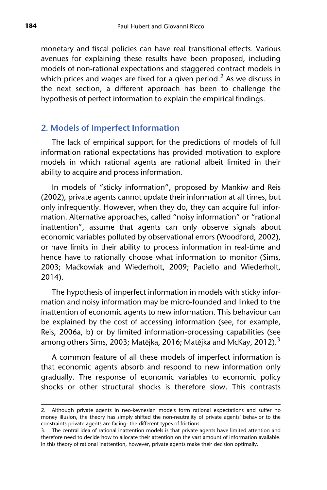monetary and fiscal policies can have real transitional effects. Various avenues for explaining these results have been proposed, including models of non-rational expectations and staggered contract models in which prices and wages are fixed for a given period.<sup>2</sup> As we discuss in the next section, a different approach has been to challenge the hypothesis of perfect information to explain the empirical findings.

#### **2. Models of Imperfect Information**

The lack of empirical support for the predictions of models of full information rational expectations has provided motivation to explore models in which rational agents are rational albeit limited in their ability to acquire and process information.

In models of "sticky information", proposed by Mankiw and Reis (2002), private agents cannot update their information at all times, but only infrequently. However, when they do, they can acquire full information. Alternative approaches, called "noisy information" or "rational inattention", assume that agents can only observe signals about economic variables polluted by observational errors (Woodford, 2002), or have limits in their ability to process information in real-time and hence have to rationally choose what information to monitor (Sims, 2003; Maćkowiak and Wiederholt, 2009; Paciello and Wiederholt, 2014).

The hypothesis of imperfect information in models with sticky information and noisy information may be micro-founded and linked to the inattention of economic agents to new information. This behaviour can be explained by the cost of accessing information (see, for example, Reis, 2006a, b) or by limited information-processing capabilities (see among others Sims, 2003; Matějka, 2016; Matějka and McKay, 2012).<sup>3</sup>

A common feature of all these models of imperfect information is that economic agents absorb and respond to new information only gradually. The response of economic variables to economic policy shocks or other structural shocks is therefore slow. This contrasts

<sup>2.</sup> Although private agents in neo-keynesian models form rational expectations and suffer no money illusion, the theory has simply shifted the non-neutrality of private agents' behavior to the constraints private agents are facing: the different types of frictions.

<sup>3.</sup> The central idea of rational inattention models is that private agents have limited attention and therefore need to decide how to allocate their attention on the vast amount of information available. In this theory of rational inattention, however, private agents make their decision optimally.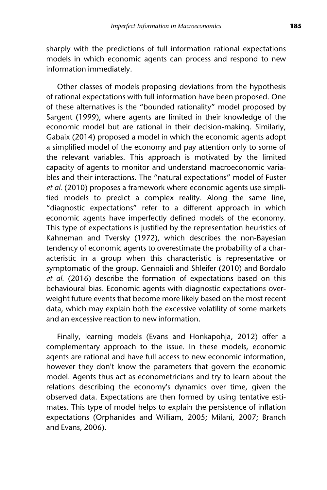sharply with the predictions of full information rational expectations models in which economic agents can process and respond to new information immediately.

Other classes of models proposing deviations from the hypothesis of rational expectations with full information have been proposed. One of these alternatives is the "bounded rationality" model proposed by Sargent (1999), where agents are limited in their knowledge of the economic model but are rational in their decision-making. Similarly, Gabaix (2014) proposed a model in which the economic agents adopt a simplified model of the economy and pay attention only to some of the relevant variables. This approach is motivated by the limited capacity of agents to monitor and understand macroeconomic variables and their interactions. The "natural expectations" model of Fuster *et al.* (2010) proposes a framework where economic agents use simplified models to predict a complex reality. Along the same line, "diagnostic expectations" refer to a different approach in which economic agents have imperfectly defined models of the economy. This type of expectations is justified by the representation heuristics of Kahneman and Tversky (1972), which describes the non-Bayesian tendency of economic agents to overestimate the probability of a characteristic in a group when this characteristic is representative or symptomatic of the group. Gennaioli and Shleifer (2010) and Bordalo *et al.* (2016) describe the formation of expectations based on this behavioural bias. Economic agents with diagnostic expectations overweight future events that become more likely based on the most recent data, which may explain both the excessive volatility of some markets and an excessive reaction to new information.

Finally, learning models (Evans and Honkapohja, 2012) offer a complementary approach to the issue. In these models, economic agents are rational and have full access to new economic information, however they don't know the parameters that govern the economic model. Agents thus act as econometricians and try to learn about the relations describing the economy's dynamics over time, given the observed data. Expectations are then formed by using tentative estimates. This type of model helps to explain the persistence of inflation expectations (Orphanides and William, 2005; Milani, 2007; Branch and Evans, 2006).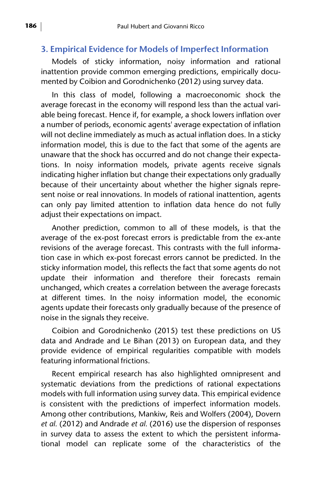#### **3. Empirical Evidence for Models of Imperfect Information**

Models of sticky information, noisy information and rational inattention provide common emerging predictions, empirically documented by Coibion and Gorodnichenko (2012) using survey data.

In this class of model, following a macroeconomic shock the average forecast in the economy will respond less than the actual variable being forecast. Hence if, for example, a shock lowers inflation over a number of periods, economic agents' average expectation of inflation will not decline immediately as much as actual inflation does. In a sticky information model, this is due to the fact that some of the agents are unaware that the shock has occurred and do not change their expectations. In noisy information models, private agents receive signals indicating higher inflation but change their expectations only gradually because of their uncertainty about whether the higher signals represent noise or real innovations. In models of rational inattention, agents can only pay limited attention to inflation data hence do not fully adjust their expectations on impact.

Another prediction, common to all of these models, is that the average of the ex-post forecast errors is predictable from the ex-ante revisions of the average forecast. This contrasts with the full information case in which ex-post forecast errors cannot be predicted. In the sticky information model, this reflects the fact that some agents do not update their information and therefore their forecasts remain unchanged, which creates a correlation between the average forecasts at different times. In the noisy information model, the economic agents update their forecasts only gradually because of the presence of noise in the signals they receive.

Coibion and Gorodnichenko (2015) test these predictions on US data and Andrade and Le Bihan (2013) on European data, and they provide evidence of empirical regularities compatible with models featuring informational frictions.

Recent empirical research has also highlighted omnipresent and systematic deviations from the predictions of rational expectations models with full information using survey data. This empirical evidence is consistent with the predictions of imperfect information models. Among other contributions, Mankiw, Reis and Wolfers (2004), Dovern *et al.* (2012) and Andrade *et al.* (2016) use the dispersion of responses in survey data to assess the extent to which the persistent informational model can replicate some of the characteristics of the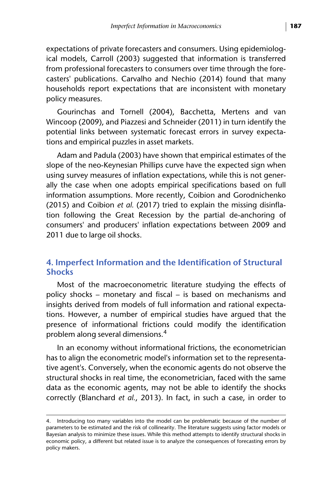expectations of private forecasters and consumers. Using epidemiological models, Carroll (2003) suggested that information is transferred from professional forecasters to consumers over time through the forecasters' publications. Carvalho and Nechio (2014) found that many households report expectations that are inconsistent with monetary policy measures.

Gourinchas and Tornell (2004), Bacchetta, Mertens and van Wincoop (2009), and Piazzesi and Schneider (2011) in turn identify the potential links between systematic forecast errors in survey expectations and empirical puzzles in asset markets.

Adam and Padula (2003) have shown that empirical estimates of the slope of the neo-Keynesian Phillips curve have the expected sign when using survey measures of inflation expectations, while this is not generally the case when one adopts empirical specifications based on full information assumptions. More recently, Coibion and Gorodnichenko (2015) and Coibion *et al.* (2017) tried to explain the missing disinflation following the Great Recession by the partial de-anchoring of consumers' and producers' inflation expectations between 2009 and 2011 due to large oil shocks.

### **4. Imperfect Information and the Identification of Structural Shocks**

Most of the macroeconometric literature studying the effects of policy shocks – monetary and fiscal – is based on mechanisms and insights derived from models of full information and rational expectations. However, a number of empirical studies have argued that the presence of informational frictions could modify the identification problem along several dimensions.<sup>4</sup>

In an economy without informational frictions, the econometrician has to align the econometric model's information set to the representative agent's. Conversely, when the economic agents do not observe the structural shocks in real time, the econometrician, faced with the same data as the economic agents, may not be able to identify the shocks correctly (Blanchard *et al.*, 2013). In fact, in such a case, in order to

<sup>4.</sup> Introducing too many variables into the model can be problematic because of the number of parameters to be estimated and the risk of collinearity. The literature suggests using factor models or Bayesian analysis to minimize these issues. While this method attempts to identify structural shocks in economic policy, a different but related issue is to analyze the consequences of forecasting errors by policy makers.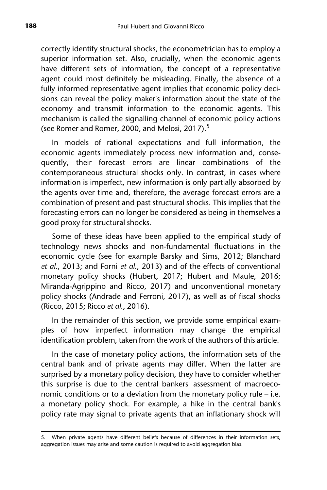correctly identify structural shocks, the econometrician has to employ a superior information set. Also, crucially, when the economic agents have different sets of information, the concept of a representative agent could most definitely be misleading. Finally, the absence of a fully informed representative agent implies that economic policy decisions can reveal the policy maker's information about the state of the economy and transmit information to the economic agents. This mechanism is called the signalling channel of economic policy actions (see Romer and Romer, 2000, and Melosi, 2017).<sup>5</sup>

In models of rational expectations and full information, the economic agents immediately process new information and, consequently, their forecast errors are linear combinations of the contemporaneous structural shocks only. In contrast, in cases where information is imperfect, new information is only partially absorbed by the agents over time and, therefore, the average forecast errors are a combination of present and past structural shocks. This implies that the forecasting errors can no longer be considered as being in themselves a good proxy for structural shocks.

Some of these ideas have been applied to the empirical study of technology news shocks and non-fundamental fluctuations in the economic cycle (see for example Barsky and Sims, 2012; Blanchard *et al.*, 2013; and Forni *et al.*, 2013) and of the effects of conventional monetary policy shocks (Hubert, 2017; Hubert and Maule, 2016; Miranda-Agrippino and Ricco, 2017) and unconventional monetary policy shocks (Andrade and Ferroni, 2017), as well as of fiscal shocks (Ricco, 2015; Ricco *et al.*, 2016).

In the remainder of this section, we provide some empirical examples of how imperfect information may change the empirical identification problem, taken from the work of the authors of this article.

In the case of monetary policy actions, the information sets of the central bank and of private agents may differ. When the latter are surprised by a monetary policy decision, they have to consider whether this surprise is due to the central bankers' assessment of macroeconomic conditions or to a deviation from the monetary policy rule – i.e. a monetary policy shock. For example, a hike in the central bank's policy rate may signal to private agents that an inflationary shock will

<sup>5.</sup> When private agents have different beliefs because of differences in their information sets, aggregation issues may arise and some caution is required to avoid aggregation bias.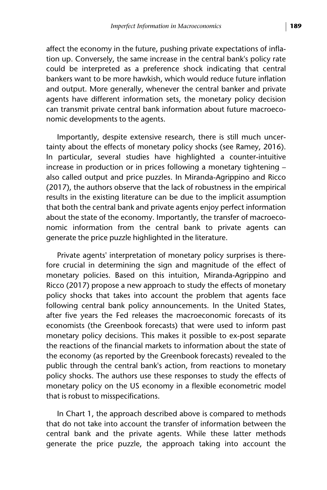affect the economy in the future, pushing private expectations of inflation up. Conversely, the same increase in the central bank's policy rate could be interpreted as a preference shock indicating that central bankers want to be more hawkish, which would reduce future inflation and output. More generally, whenever the central banker and private agents have different information sets, the monetary policy decision can transmit private central bank information about future macroeconomic developments to the agents.

Importantly, despite extensive research, there is still much uncertainty about the effects of monetary policy shocks (see Ramey, 2016). In particular, several studies have highlighted a counter-intuitive increase in production or in prices following a monetary tightening – also called output and price puzzles. In Miranda-Agrippino and Ricco (2017), the authors observe that the lack of robustness in the empirical results in the existing literature can be due to the implicit assumption that both the central bank and private agents enjoy perfect information about the state of the economy. Importantly, the transfer of macroeconomic information from the central bank to private agents can generate the price puzzle highlighted in the literature.

Private agents' interpretation of monetary policy surprises is therefore crucial in determining the sign and magnitude of the effect of monetary policies. Based on this intuition, Miranda-Agrippino and Ricco (2017) propose a new approach to study the effects of monetary policy shocks that takes into account the problem that agents face following central bank policy announcements. In the United States, after five years the Fed releases the macroeconomic forecasts of its economists (the Greenbook forecasts) that were used to inform past monetary policy decisions. This makes it possible to ex-post separate the reactions of the financial markets to information about the state of the economy (as reported by the Greenbook forecasts) revealed to the public through the central bank's action, from reactions to monetary policy shocks. The authors use these responses to study the effects of monetary policy on the US economy in a flexible econometric model that is robust to misspecifications.

In Chart 1, the approach described above is compared to methods that do not take into account the transfer of information between the central bank and the private agents. While these latter methods generate the price puzzle, the approach taking into account the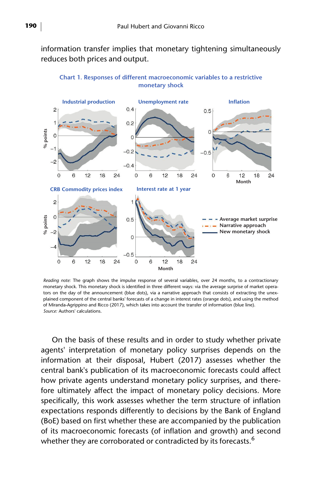information transfer implies that monetary tightening simultaneously reduces both prices and output.



**Chart 1. Responses of different macroeconomic variables to a restrictive monetary shock**

*Reading note:* The graph shows the impulse response of several variables, over 24 months, to a contractionary monetary shock. This monetary shock is identified in three different ways: via the average surprise of market operators on the day of the announcement (blue dots), via a narrative approach that consists of extracting the unexplained component of the central banks' forecasts of a change in interest rates (orange dots), and using the method of Miranda-Agrippino and Ricco (2017), which takes into account the transfer of information (blue line). *Source:* Authors' calculations.

On the basis of these results and in order to study whether private agents' interpretation of monetary policy surprises depends on the information at their disposal, Hubert (2017) assesses whether the central bank's publication of its macroeconomic forecasts could affect how private agents understand monetary policy surprises, and therefore ultimately affect the impact of monetary policy decisions. More specifically, this work assesses whether the term structure of inflation expectations responds differently to decisions by the Bank of England (BoE) based on first whether these are accompanied by the publication of its macroeconomic forecasts (of inflation and growth) and second whether they are corroborated or contradicted by its forecasts.<sup>6</sup>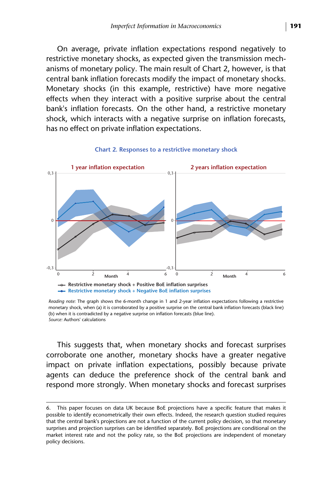On average, private inflation expectations respond negatively to restrictive monetary shocks, as expected given the transmission mechanisms of monetary policy. The main result of Chart 2, however, is that central bank inflation forecasts modify the impact of monetary shocks. Monetary shocks (in this example, restrictive) have more negative effects when they interact with a positive surprise about the central bank's inflation forecasts. On the other hand, a restrictive monetary shock, which interacts with a negative surprise on inflation forecasts, has no effect on private inflation expectations.



#### **Chart 2. Responses to a restrictive monetary shock**

*Reading note:* The graph shows the 6-month change in 1 and 2-year inflation expectations following a restrictive monetary shock, when (a) it is corroborated by a positive surprise on the central bank inflation forecasts (black line) (b) when it is contradicted by a negative surprise on inflation forecasts (blue line). *Source:* Authors' calculations

This suggests that, when monetary shocks and forecast surprises corroborate one another, monetary shocks have a greater negative impact on private inflation expectations, possibly because private agents can deduce the preference shock of the central bank and respond more strongly. When monetary shocks and forecast surprises

<sup>6.</sup> This paper focuses on data UK because BoE projections have a specific feature that makes it possible to identify econometrically their own effects. Indeed, the research question studied requires that the central bank's projections are not a function of the current policy decision, so that monetary surprises and projection surprises can be identified separately. BoE projections are conditional on the market interest rate and not the policy rate, so the BoE projections are independent of monetary policy decisions.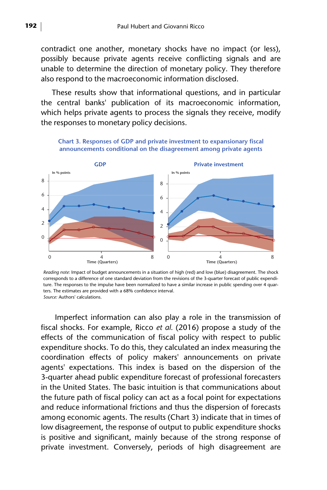contradict one another, monetary shocks have no impact (or less), possibly because private agents receive conflicting signals and are unable to determine the direction of monetary policy. They therefore also respond to the macroeconomic information disclosed.

These results show that informational questions, and in particular the central banks' publication of its macroeconomic information, which helps private agents to process the signals they receive, modify the responses to monetary policy decisions.

**Chart 3. Responses of GDP and private investment to expansionary fiscal** 

**announcements conditional on the disagreement among private agents GDP Private investment** 8 6 4 2  $\overline{0}$ 8 6 4  $\overline{\phantom{0}}$  $\Omega$ **In % points In % points** 

*Reading note:* Impact of budget announcements in a situation of high (red) and low (blue) disagreement. The shock corresponds to a difference of one standard deviation from the revisions of the 3-quarter forecast of public expenditure. The responses to the impulse have been normalized to have a similar increase in public spending over 4 quarters. The estimates are provided with a 68% confidence interval.

0 4 8 0 4 8 8 3 8 8 4 8 8 8 1 and 4 8 8 8 1 and 4 8 8 8 1 and 4 8 8 1 and 4 8 8 1 and 4 8 8 1 and 4 8 8 1 and 4 8 8 1 and 4 8 8 1 and 4 8 8 1 and 4 8 8 1 and 4 8 8 1 and 4 8 8 1 and 4 8 8 1 and 4 8 8 1 and 4 8 8 8 1 and 4

**Time (Quarters) Time (Quarters)**

*Source:* Authors' calculations.

 Imperfect information can also play a role in the transmission of fiscal shocks. For example, Ricco *et al.* (2016) propose a study of the effects of the communication of fiscal policy with respect to public expenditure shocks. To do this, they calculated an index measuring the coordination effects of policy makers' announcements on private agents' expectations. This index is based on the dispersion of the 3-quarter ahead public expenditure forecast of professional forecasters in the United States. The basic intuition is that communications about the future path of fiscal policy can act as a focal point for expectations and reduce informational frictions and thus the dispersion of forecasts among economic agents. The results (Chart 3) indicate that in times of low disagreement, the response of output to public expenditure shocks is positive and significant, mainly because of the strong response of private investment. Conversely, periods of high disagreement are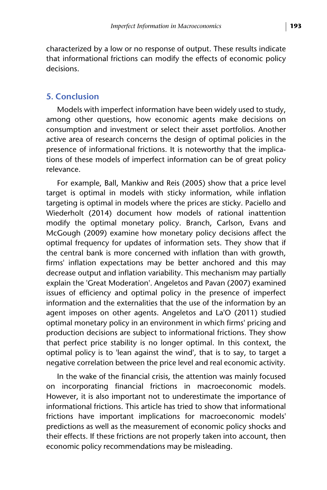characterized by a low or no response of output. These results indicate that informational frictions can modify the effects of economic policy decisions.

#### **5. Conclusion**

Models with imperfect information have been widely used to study, among other questions, how economic agents make decisions on consumption and investment or select their asset portfolios. Another active area of research concerns the design of optimal policies in the presence of informational frictions. It is noteworthy that the implications of these models of imperfect information can be of great policy relevance.

For example, Ball, Mankiw and Reis (2005) show that a price level target is optimal in models with sticky information, while inflation targeting is optimal in models where the prices are sticky. Paciello and Wiederholt (2014) document how models of rational inattention modify the optimal monetary policy. Branch, Carlson, Evans and McGough (2009) examine how monetary policy decisions affect the optimal frequency for updates of information sets. They show that if the central bank is more concerned with inflation than with growth, firms' inflation expectations may be better anchored and this may decrease output and inflation variability. This mechanism may partially explain the 'Great Moderation'. Angeletos and Pavan (2007) examined issues of efficiency and optimal policy in the presence of imperfect information and the externalities that the use of the information by an agent imposes on other agents. Angeletos and La'O (2011) studied optimal monetary policy in an environment in which firms' pricing and production decisions are subject to informational frictions. They show that perfect price stability is no longer optimal. In this context, the optimal policy is to 'lean against the wind', that is to say, to target a negative correlation between the price level and real economic activity.

In the wake of the financial crisis, the attention was mainly focused on incorporating financial frictions in macroeconomic models. However, it is also important not to underestimate the importance of informational frictions. This article has tried to show that informational frictions have important implications for macroeconomic models' predictions as well as the measurement of economic policy shocks and their effects. If these frictions are not properly taken into account, then economic policy recommendations may be misleading.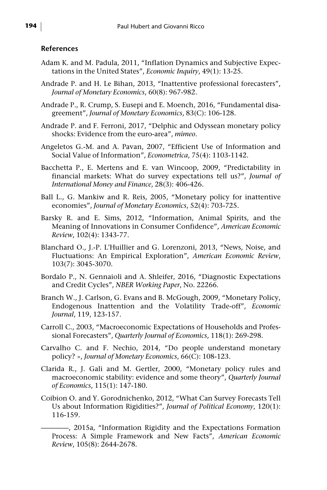#### **References**

- Adam K. and M. Padula, 2011, "Inflation Dynamics and Subjective Expectations in the United States", *Economic Inquiry*, 49(1): 13-25.
- Andrade P. and H. Le Bihan, 2013, "Inattentive professional forecasters", *Journal of Monetary Economics*, 60(8): 967-982.
- Andrade P., R. Crump, S. Eusepi and E. Moench, 2016, "Fundamental disagreement", *Journal of Monetary Economics*, 83(C): 106-128.
- Andrade P. and F. Ferroni, 2017, "Delphic and Odyssean monetary policy shocks: Evidence from the euro-area", *mimeo*.
- Angeletos G.-M. and A. Pavan, 2007, "Efficient Use of Information and Social Value of Information", *Econometrica*, 75(4): 1103-1142.
- Bacchetta P., E. Mertens and E. van Wincoop, 2009, "Predictability in financial markets: What do survey expectations tell us?", *Journal of International Money and Finance*, 28(3): 406-426.
- Ball L., G. Mankiw and R. Reis, 2005, "Monetary policy for inattentive economies", *Journal of Monetary Economics*, 52(4): 703-725.
- Barsky R. and E. Sims, 2012, "Information, Animal Spirits, and the Meaning of Innovations in Consumer Confidence", *American Economic Review*, 102(4): 1343-77.
- Blanchard O., J.-P. L'Huillier and G. Lorenzoni, 2013, "News, Noise, and Fluctuations: An Empirical Exploration", *American Economic Review*, 103(7): 3045-3070.
- Bordalo P., N. Gennaioli and A. Shleifer, 2016, "Diagnostic Expectations and Credit Cycles", *NBER Working Paper*, No. 22266.
- Branch W., J. Carlson, G. Evans and B. McGough, 2009, "Monetary Policy, Endogenous Inattention and the Volatility Trade-off", *Economic Journal*, 119, 123-157.
- Carroll C., 2003, "Macroeconomic Expectations of Households and Professional Forecasters", *Quarterly Journal of Economics*, 118(1): 269-298.
- Carvalho C. and F. Nechio, 2014, "Do people understand monetary policy? », *Journal of Monetary Economics*, 66(C): 108-123.
- Clarida R., J. Gali and M. Gertler, 2000, "Monetary policy rules and macroeconomic stability: evidence and some theory", *Quarterly Journal of Economics*, 115(1): 147-180.
- Coibion O. and Y. Gorodnichenko, 2012, "What Can Survey Forecasts Tell Us about Information Rigidities?", *Journal of Political Economy*, 120(1): 116-159.

<sup>————, 2015</sup>a, "Information Rigidity and the Expectations Formation Process: A Simple Framework and New Facts", *American Economic Review*, 105(8): 2644-2678.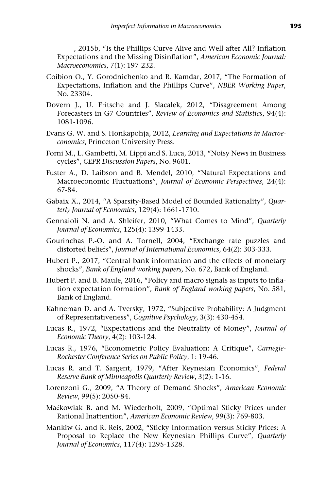-, 2015b, "Is the Phillips Curve Alive and Well after All? Inflation Expectations and the Missing Disinflation", *American Economic Journal: Macroeconomics*, 7(1): 197-232.

- Coibion O., Y. Gorodnichenko and R. Kamdar, 2017, "The Formation of Expectations, Inflation and the Phillips Curve", *NBER Working Paper*, No. 23304.
- Dovern J., U. Fritsche and J. Slacalek, 2012, "Disagreement Among Forecasters in G7 Countries", *Review of Economics and Statistics*, 94(4): 1081-1096.
- Evans G. W. and S. Honkapohja, 2012, *Learning and Expectations in Macroeconomics*, Princeton University Press.
- Forni M., L. Gambetti, M. Lippi and S. Luca, 2013, "Noisy News in Business cycles", *CEPR Discussion Papers*, No. 9601.
- Fuster A., D. Laibson and B. Mendel, 2010, "Natural Expectations and Macroeconomic Fluctuations", *Journal of Economic Perspectives*, 24(4): 67-84.
- Gabaix X., 2014, "A Sparsity-Based Model of Bounded Rationality", *Quarterly Journal of Economics*, 129(4): 1661-1710.
- Gennaioli N. and A. Shleifer, 2010, "What Comes to Mind", *Quarterly Journal of Economics*, 125(4): 1399-1433.
- Gourinchas P.-O. and A. Tornell, 2004, "Exchange rate puzzles and distorted beliefs", *Journal of International Economics*, 64(2): 303-333.
- Hubert P., 2017, "Central bank information and the effects of monetary shocks", *Bank of England working papers,* No. 672, Bank of England.
- Hubert P. and B. Maule, 2016, "Policy and macro signals as inputs to inflation expectation formation", *Bank of England working papers*, No. 581, Bank of England.
- Kahneman D. and A. Tversky, 1972, "Subjective Probability: A Judgment of Representativeness", *Cognitive Psychology*, 3(3): 430-454.
- Lucas R., 1972, "Expectations and the Neutrality of Money", *Journal of Economic Theory*, 4(2): 103-124.
- Lucas R., 1976, "Econometric Policy Evaluation: A Critique", *Carnegie-Rochester Conference Series on Public Policy*, 1: 19-46.
- Lucas R. and T. Sargent, 1979, "After Keynesian Economics", *Federal Reserve Bank of Minneapolis Quarterly Review*, 3(2): 1-16.
- Lorenzoni G., 2009, "A Theory of Demand Shocks", *American Economic Review*, 99(5): 2050-84.
- Maćkowiak B. and M. Wiederholt, 2009, "Optimal Sticky Prices under Rational Inattention", *American Economic Review*, 99(3): 769-803.
- Mankiw G. and R. Reis, 2002, "Sticky Information versus Sticky Prices: A Proposal to Replace the New Keynesian Phillips Curve", *Quarterly Journal of Economics*, 117(4): 1295-1328.